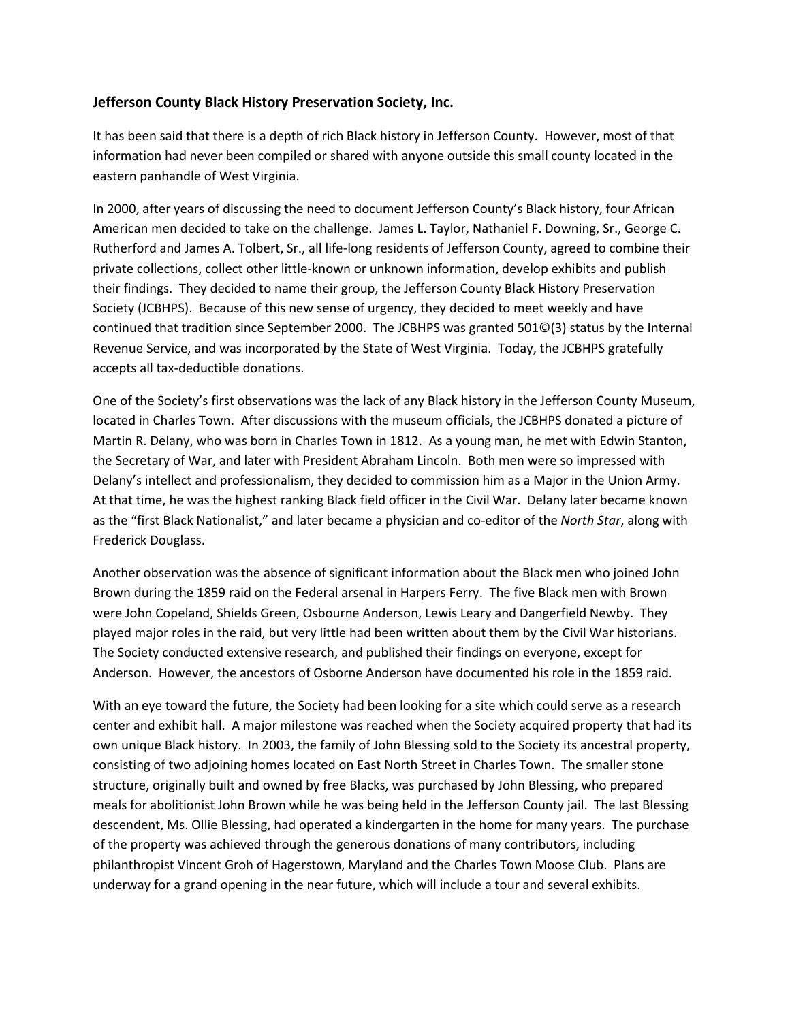## **Jefferson County Black History Preservation Society, Inc.**

It has been said that there is a depth of rich Black history in Jefferson County. However, most of that information had never been compiled or shared with anyone outside this small county located in the eastern panhandle of West Virginia.

In 2000, after years of discussing the need to document Jefferson County's Black history, four African American men decided to take on the challenge. James L. Taylor, Nathaniel F. Downing, Sr., George C. Rutherford and James A. Tolbert, Sr., all life-long residents of Jefferson County, agreed to combine their private collections, collect other little-known or unknown information, develop exhibits and publish their findings. They decided to name their group, the Jefferson County Black History Preservation Society (JCBHPS). Because of this new sense of urgency, they decided to meet weekly and have continued that tradition since September 2000. The JCBHPS was granted 501©(3) status by the Internal Revenue Service, and was incorporated by the State of West Virginia. Today, the JCBHPS gratefully accepts all tax-deductible donations.

One of the Society's first observations was the lack of any Black history in the Jefferson County Museum, located in Charles Town. After discussions with the museum officials, the JCBHPS donated a picture of Martin R. Delany, who was born in Charles Town in 1812. As a young man, he met with Edwin Stanton, the Secretary of War, and later with President Abraham Lincoln. Both men were so impressed with Delany's intellect and professionalism, they decided to commission him as a Major in the Union Army. At that time, he was the highest ranking Black field officer in the Civil War. Delany later became known as the "first Black Nationalist," and later became a physician and co-editor of the *North Star*, along with Frederick Douglass.

Another observation was the absence of significant information about the Black men who joined John Brown during the 1859 raid on the Federal arsenal in Harpers Ferry. The five Black men with Brown were John Copeland, Shields Green, Osbourne Anderson, Lewis Leary and Dangerfield Newby. They played major roles in the raid, but very little had been written about them by the Civil War historians. The Society conducted extensive research, and published their findings on everyone, except for Anderson. However, the ancestors of Osborne Anderson have documented his role in the 1859 raid.

With an eye toward the future, the Society had been looking for a site which could serve as a research center and exhibit hall. A major milestone was reached when the Society acquired property that had its own unique Black history. In 2003, the family of John Blessing sold to the Society its ancestral property, consisting of two adjoining homes located on East North Street in Charles Town. The smaller stone structure, originally built and owned by free Blacks, was purchased by John Blessing, who prepared meals for abolitionist John Brown while he was being held in the Jefferson County jail. The last Blessing descendent, Ms. Ollie Blessing, had operated a kindergarten in the home for many years. The purchase of the property was achieved through the generous donations of many contributors, including philanthropist Vincent Groh of Hagerstown, Maryland and the Charles Town Moose Club. Plans are underway for a grand opening in the near future, which will include a tour and several exhibits.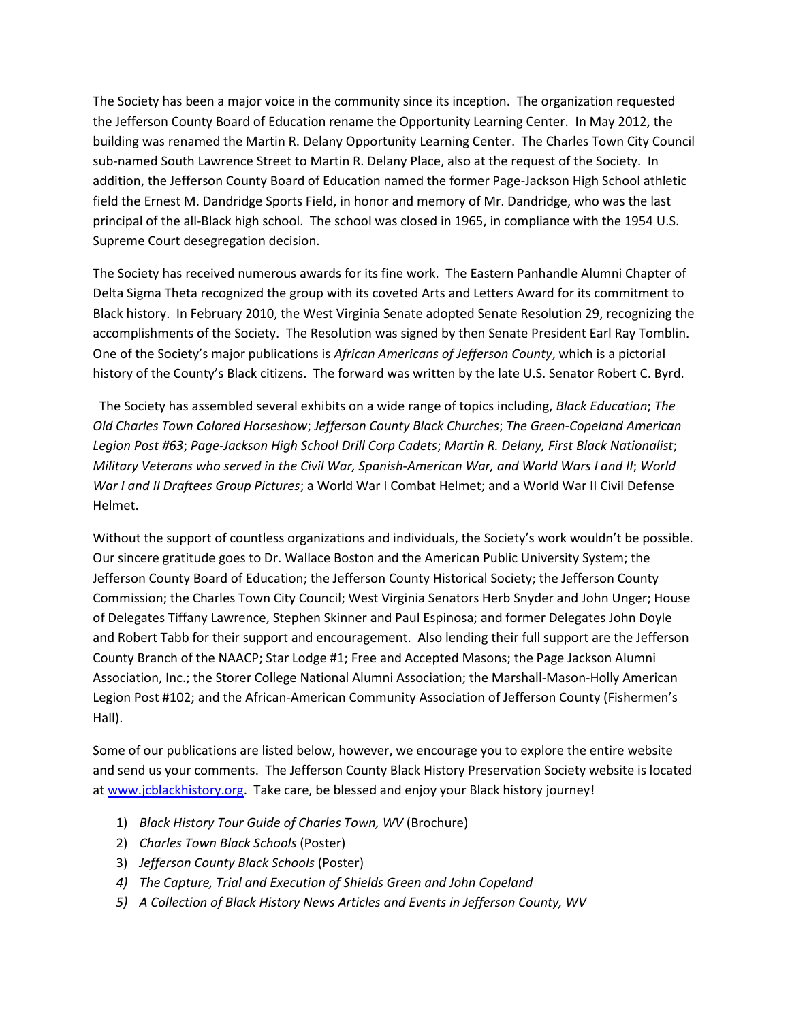The Society has been a major voice in the community since its inception. The organization requested the Jefferson County Board of Education rename the Opportunity Learning Center. In May 2012, the building was renamed the Martin R. Delany Opportunity Learning Center. The Charles Town City Council sub-named South Lawrence Street to Martin R. Delany Place, also at the request of the Society. In addition, the Jefferson County Board of Education named the former Page-Jackson High School athletic field the Ernest M. Dandridge Sports Field, in honor and memory of Mr. Dandridge, who was the last principal of the all-Black high school. The school was closed in 1965, in compliance with the 1954 U.S. Supreme Court desegregation decision.

The Society has received numerous awards for its fine work. The Eastern Panhandle Alumni Chapter of Delta Sigma Theta recognized the group with its coveted Arts and Letters Award for its commitment to Black history. In February 2010, the West Virginia Senate adopted Senate Resolution 29, recognizing the accomplishments of the Society. The Resolution was signed by then Senate President Earl Ray Tomblin. One of the Society's major publications is *African Americans of Jefferson County*, which is a pictorial history of the County's Black citizens. The forward was written by the late U.S. Senator Robert C. Byrd.

 The Society has assembled several exhibits on a wide range of topics including, *Black Education*; *The Old Charles Town Colored Horseshow*; *Jefferson County Black Churches*; *The Green-Copeland American Legion Post #63*; *Page-Jackson High School Drill Corp Cadets*; *Martin R. Delany, First Black Nationalist*; *Military Veterans who served in the Civil War, Spanish-American War, and World Wars I and II*; *World War I and II Draftees Group Pictures*; a World War I Combat Helmet; and a World War II Civil Defense Helmet.

Without the support of countless organizations and individuals, the Society's work wouldn't be possible. Our sincere gratitude goes to Dr. Wallace Boston and the American Public University System; the Jefferson County Board of Education; the Jefferson County Historical Society; the Jefferson County Commission; the Charles Town City Council; West Virginia Senators Herb Snyder and John Unger; House of Delegates Tiffany Lawrence, Stephen Skinner and Paul Espinosa; and former Delegates John Doyle and Robert Tabb for their support and encouragement. Also lending their full support are the Jefferson County Branch of the NAACP; Star Lodge #1; Free and Accepted Masons; the Page Jackson Alumni Association, Inc.; the Storer College National Alumni Association; the Marshall-Mason-Holly American Legion Post #102; and the African-American Community Association of Jefferson County (Fishermen's Hall).

Some of our publications are listed below, however, we encourage you to explore the entire website and send us your comments. The Jefferson County Black History Preservation Society website is located a[t www.jcblackhistory.org.](http://www.jcblackhistory.org/) Take care, be blessed and enjoy your Black history journey!

- 1) *Black History Tour Guide of Charles Town, WV* (Brochure)
- 2) *Charles Town Black Schools* (Poster)
- 3) *Jefferson County Black Schools* (Poster)
- *4) The Capture, Trial and Execution of Shields Green and John Copeland*
- *5) A Collection of Black History News Articles and Events in Jefferson County, WV*